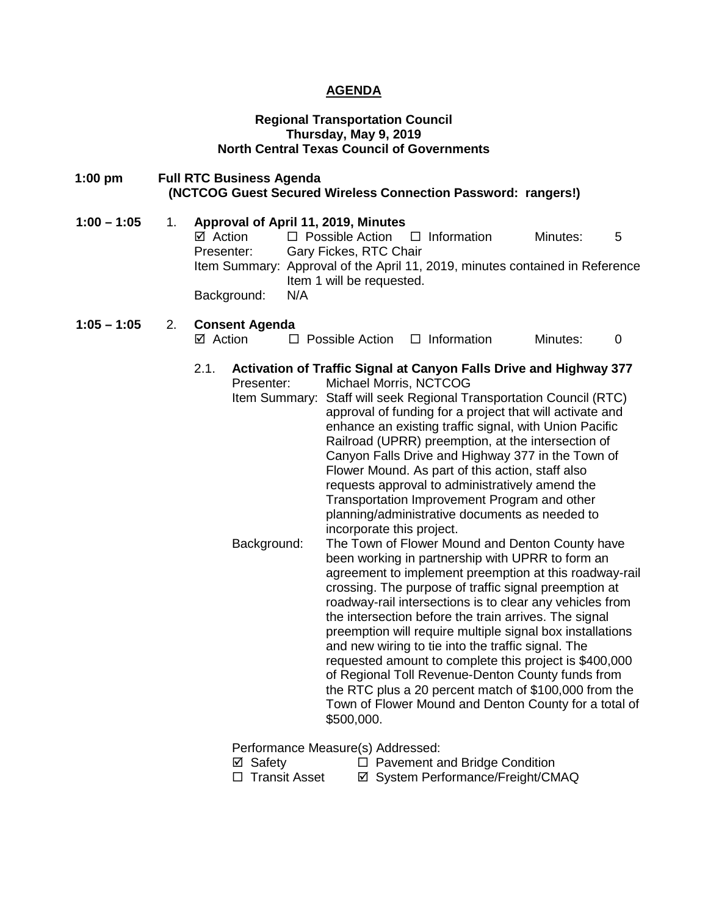### **AGENDA**

#### **Regional Transportation Council Thursday, May 9, 2019 North Central Texas Council of Governments**

- **1:00 pm Full RTC Business Agenda (NCTCOG Guest Secured Wireless Connection Password: rangers!)**
- **1:00 – 1:05** 1. **Approval of April 11, 2019, Minutes**  $\Box$  Possible Action  $\Box$  Information Minutes: 5 Presenter: Gary Fickes, RTC Chair Item Summary: Approval of the April 11, 2019, minutes contained in Reference Item 1 will be requested. Background: N/A

#### **1:05 – 1:05** 2. **Consent Agenda**

- $\boxtimes$  Action  $\Box$  Possible Action  $\Box$  Information Minutes: 0
- 2.1. **Activation of Traffic Signal at Canyon Falls Drive and Highway 377**
	- Presenter: Michael Morris, NCTCOG Item Summary: Staff will seek Regional Transportation Council (RTC) approval of funding for a project that will activate and enhance an existing traffic signal, with Union Pacific Railroad (UPRR) preemption, at the intersection of Canyon Falls Drive and Highway 377 in the Town of Flower Mound. As part of this action, staff also requests approval to administratively amend the Transportation Improvement Program and other planning/administrative documents as needed to incorporate this project. Background: The Town of Flower Mound and Denton County have been working in partnership with UPRR to form an agreement to implement preemption at this roadway-rail crossing. The purpose of traffic signal preemption at roadway-rail intersections is to clear any vehicles from the intersection before the train arrives. The signal preemption will require multiple signal box installations and new wiring to tie into the traffic signal. The requested amount to complete this project is \$400,000 of Regional Toll Revenue-Denton County funds from the RTC plus a 20 percent match of \$100,000 from the Town of Flower Mound and Denton County for a total of \$500,000.

Performance Measure(s) Addressed:

- <p>✓ Safety</p>\n<p>□ Pavement and Bridge Condition</p>\n<p>□ Transit Asset</p>\n<p>✓ System Performance/Freicht/CN</p>
- ⊠ System Performance/Freight/CMAQ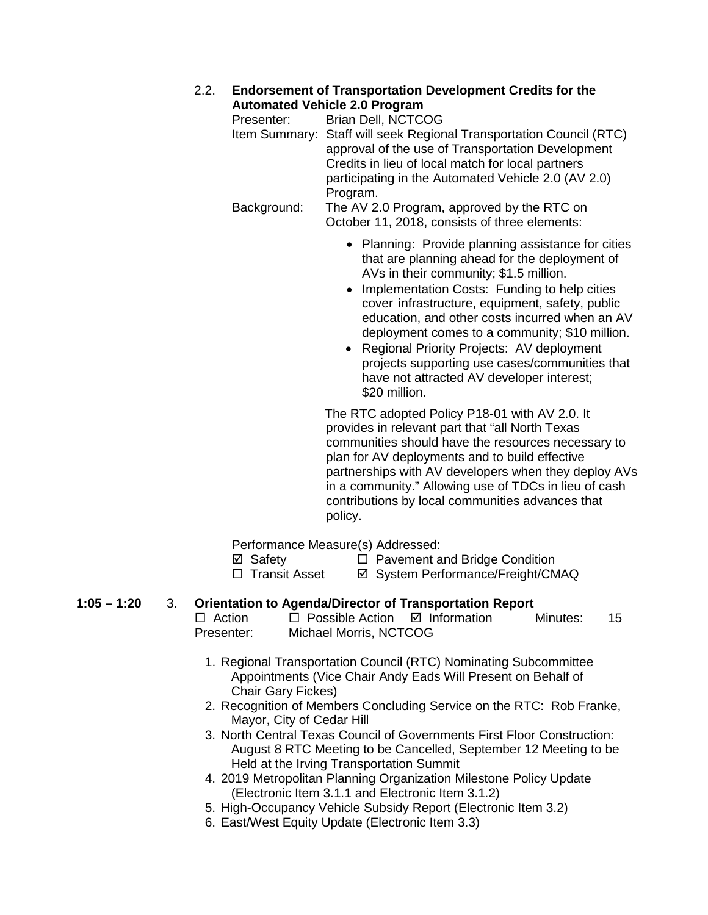### 2.2. **Endorsement of Transportation Development Credits for the Automated Vehicle 2.0 Program**

| Presenter:  | Brian Dell, NCTCOG                                                                                                       |
|-------------|--------------------------------------------------------------------------------------------------------------------------|
|             | Item Summary: Staff will seek Regional Transportation Council (RTC)<br>approval of the use of Transportation Development |
|             | Credits in lieu of local match for local partners                                                                        |
|             | participating in the Automated Vehicle 2.0 (AV 2.0)                                                                      |
|             | Program.                                                                                                                 |
| Background: | The AV 2.0 Program, approved by the RTC on                                                                               |
|             | October 11, 2018, consists of three elements:                                                                            |

- Planning: Provide planning assistance for cities that are planning ahead for the deployment of AVs in their community; \$1.5 million.
- Implementation Costs: Funding to help cities cover infrastructure, equipment, safety, public education, and other costs incurred when an AV deployment comes to a community; \$10 million.
- Regional Priority Projects: AV deployment projects supporting use cases/communities that have not attracted AV developer interest; \$20 million.

The RTC adopted Policy P18-01 with AV 2.0. It provides in relevant part that "all North Texas communities should have the resources necessary to plan for AV deployments and to build effective partnerships with AV developers when they deploy AVs in a community." Allowing use of TDCs in lieu of cash contributions by local communities advances that policy.

Performance Measure(s) Addressed:

- $\boxtimes$  Safety  $\Box$  Pavement and Bridge Condition
- □ Transit Asset  $\Box$  System Performance/Freight/CMAQ

## **1:05 – 1:20** 3. **Orientation to Agenda/Director of Transportation Report**

- $\Box$  Possible Action  $\Box$  Information Minutes: 15 Presenter: Michael Morris, NCTCOG
	- 1. Regional Transportation Council (RTC) Nominating Subcommittee Appointments (Vice Chair Andy Eads Will Present on Behalf of Chair Gary Fickes)
	- 2. Recognition of Members Concluding Service on the RTC: Rob Franke, Mayor, City of Cedar Hill
	- 3. North Central Texas Council of Governments First Floor Construction: August 8 RTC Meeting to be Cancelled, September 12 Meeting to be Held at the Irving Transportation Summit
	- 4. 2019 Metropolitan Planning Organization Milestone Policy Update (Electronic Item 3.1.1 and Electronic Item 3.1.2)
	- 5. High-Occupancy Vehicle Subsidy Report (Electronic Item 3.2)
	- 6. East/West Equity Update (Electronic Item 3.3)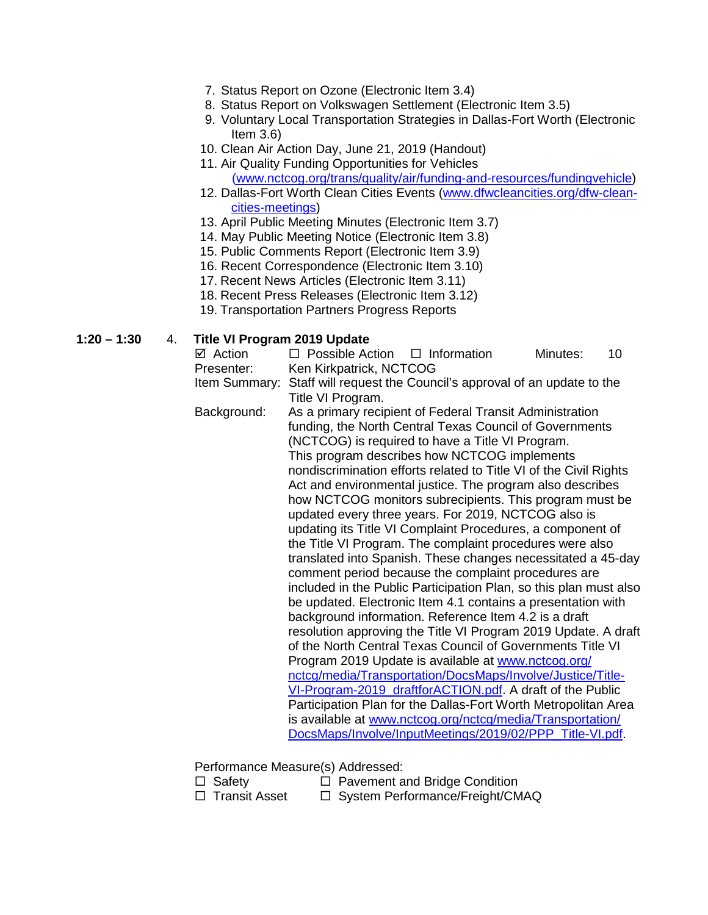- 7. Status Report on Ozone (Electronic Item 3.4)
- 8. Status Report on Volkswagen Settlement (Electronic Item 3.5)
- 9. Voluntary Local Transportation Strategies in Dallas-Fort Worth (Electronic Item 3.6)
- 10. Clean Air Action Day, June 21, 2019 (Handout)
- 11. Air Quality Funding Opportunities for Vehicles [\(www.nctcog.org/trans/quality/air/funding-and-resources/fundingvehicle\)](http://www.nctcog.org/trans/quality/air/funding-and-resources/fundingvehicle)
- 12. Dallas-Fort Worth Clean Cities Events [\(www.dfwcleancities.org/dfw-clean](http://www.dfwcleancities.org/dfw-clean-cities-meetings)[cities-meetings\)](http://www.dfwcleancities.org/dfw-clean-cities-meetings)
- 13. April Public Meeting Minutes (Electronic Item 3.7)
- 14. May Public Meeting Notice (Electronic Item 3.8)
- 15. Public Comments Report (Electronic Item 3.9)
- 16. Recent Correspondence (Electronic Item 3.10)
- 17. Recent News Articles (Electronic Item 3.11)
- 18. Recent Press Releases (Electronic Item 3.12)
- 19. Transportation Partners Progress Reports

### **1:20 – 1:30** 4. **Title VI Program 2019 Update**

| ⊠ Action   | $\Box$ Possible Action $\Box$ Information                                   | Minutes: | 10. |
|------------|-----------------------------------------------------------------------------|----------|-----|
| Presenter: | Ken Kirkpatrick, NCTCOG                                                     |          |     |
|            | Item Summary: Staff will request the Council's approval of an update to the |          |     |

- Title VI Program.
- Background: As a primary recipient of Federal Transit Administration funding, the North Central Texas Council of Governments (NCTCOG) is required to have a Title VI Program. This program describes how NCTCOG implements nondiscrimination efforts related to Title VI of the Civil Rights Act and environmental justice. The program also describes how NCTCOG monitors subrecipients. This program must be updated every three years. For 2019, NCTCOG also is updating its Title VI Complaint Procedures, a component of the Title VI Program. The complaint procedures were also translated into Spanish. These changes necessitated a 45-day comment period because the complaint procedures are included in the Public Participation Plan, so this plan must also be updated. Electronic Item 4.1 contains a presentation with background information. Reference Item 4.2 is a draft resolution approving the Title VI Program 2019 Update. A draft of the North Central Texas Council of Governments Title VI Program 2019 Update is available at [www.nctcog.org/](http://www.nctcog.org/nctcg/media/Transportation/DocsMaps/Involve/Justice/Title-VI-Program-2019_draftforACTION.pdf) [nctcg/media/Transportation/DocsMaps/Involve/Justice/Title-](http://www.nctcog.org/nctcg/media/Transportation/DocsMaps/Involve/Justice/Title-VI-Program-2019_draftforACTION.pdf)[VI-Program-2019\\_draftforACTION.pdf.](http://www.nctcog.org/nctcg/media/Transportation/DocsMaps/Involve/Justice/Title-VI-Program-2019_draftforACTION.pdf) A draft of the Public Participation Plan for the Dallas-Fort Worth Metropolitan Area is available at [www.nctcog.org/nctcg/media/Transportation/](http://www.nctcog.org/nctcg/media/Transportation/DocsMaps/Involve/InputMeetings/2019/02/PPP_Title-VI.pdf) [DocsMaps/Involve/InputMeetings/2019/02/PPP\\_Title-VI.pdf.](http://www.nctcog.org/nctcg/media/Transportation/DocsMaps/Involve/InputMeetings/2019/02/PPP_Title-VI.pdf)

Performance Measure(s) Addressed:

- 
- 
- $\Box$  Pavement and Bridge Condition  $\Box$  Transit Asset  $\Box$  System Performance/Freight/CMAQ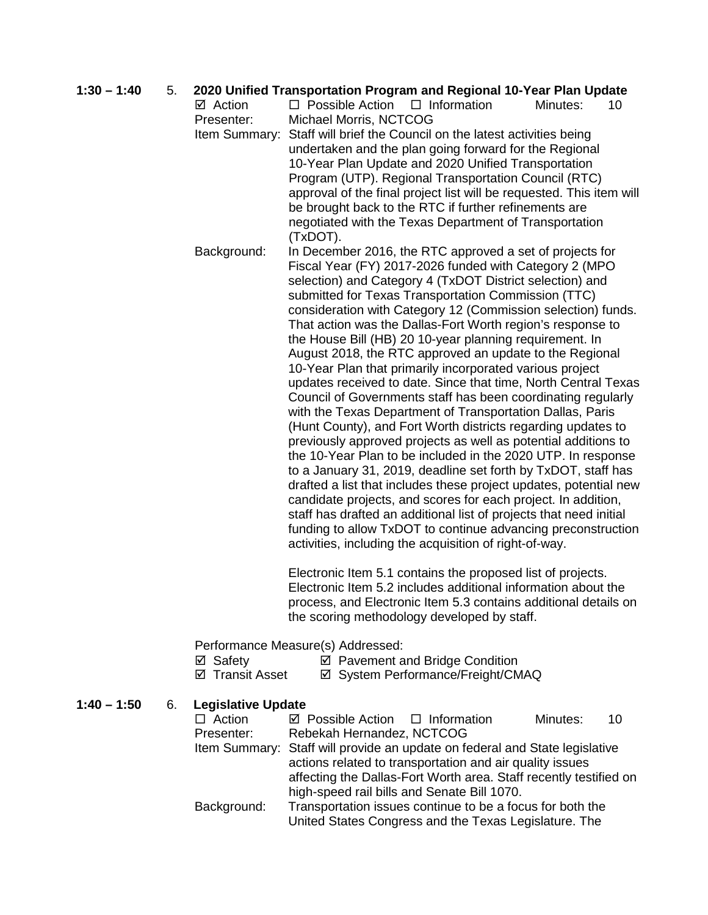| $1:30 - 1:40$ | 5. |                           | 2020 Unified Transportation Program and Regional 10-Year Plan Update        |  |  |  |  |
|---------------|----|---------------------------|-----------------------------------------------------------------------------|--|--|--|--|
|               |    | ⊠ Action                  | $\Box$ Possible Action<br>$\Box$ Information<br>Minutes:<br>10 <sup>°</sup> |  |  |  |  |
|               |    | Presenter:                | Michael Morris, NCTCOG                                                      |  |  |  |  |
|               |    | Item Summary:             | Staff will brief the Council on the latest activities being                 |  |  |  |  |
|               |    |                           | undertaken and the plan going forward for the Regional                      |  |  |  |  |
|               |    |                           | 10-Year Plan Update and 2020 Unified Transportation                         |  |  |  |  |
|               |    |                           | Program (UTP). Regional Transportation Council (RTC)                        |  |  |  |  |
|               |    |                           | approval of the final project list will be requested. This item will        |  |  |  |  |
|               |    |                           | be brought back to the RTC if further refinements are                       |  |  |  |  |
|               |    |                           | negotiated with the Texas Department of Transportation                      |  |  |  |  |
|               |    |                           | (TxDOT).                                                                    |  |  |  |  |
|               |    | Background:               | In December 2016, the RTC approved a set of projects for                    |  |  |  |  |
|               |    |                           | Fiscal Year (FY) 2017-2026 funded with Category 2 (MPO                      |  |  |  |  |
|               |    |                           | selection) and Category 4 (TxDOT District selection) and                    |  |  |  |  |
|               |    |                           | submitted for Texas Transportation Commission (TTC)                         |  |  |  |  |
|               |    |                           | consideration with Category 12 (Commission selection) funds.                |  |  |  |  |
|               |    |                           | That action was the Dallas-Fort Worth region's response to                  |  |  |  |  |
|               |    |                           | the House Bill (HB) 20 10-year planning requirement. In                     |  |  |  |  |
|               |    |                           | August 2018, the RTC approved an update to the Regional                     |  |  |  |  |
|               |    |                           | 10-Year Plan that primarily incorporated various project                    |  |  |  |  |
|               |    |                           | updates received to date. Since that time, North Central Texas              |  |  |  |  |
|               |    |                           | Council of Governments staff has been coordinating regularly                |  |  |  |  |
|               |    |                           | with the Texas Department of Transportation Dallas, Paris                   |  |  |  |  |
|               |    |                           | (Hunt County), and Fort Worth districts regarding updates to                |  |  |  |  |
|               |    |                           | previously approved projects as well as potential additions to              |  |  |  |  |
|               |    |                           | the 10-Year Plan to be included in the 2020 UTP. In response                |  |  |  |  |
|               |    |                           | to a January 31, 2019, deadline set forth by TxDOT, staff has               |  |  |  |  |
|               |    |                           | drafted a list that includes these project updates, potential new           |  |  |  |  |
|               |    |                           | candidate projects, and scores for each project. In addition,               |  |  |  |  |
|               |    |                           | staff has drafted an additional list of projects that need initial          |  |  |  |  |
|               |    |                           | funding to allow TxDOT to continue advancing preconstruction                |  |  |  |  |
|               |    |                           | activities, including the acquisition of right-of-way.                      |  |  |  |  |
|               |    |                           | Electronic Item 5.1 contains the proposed list of projects.                 |  |  |  |  |
|               |    |                           | Electronic Item 5.2 includes additional information about the               |  |  |  |  |
|               |    |                           | process, and Electronic Item 5.3 contains additional details on             |  |  |  |  |
|               |    |                           | the scoring methodology developed by staff.                                 |  |  |  |  |
|               |    |                           | Performance Measure(s) Addressed:                                           |  |  |  |  |
|               |    | ⊠ Safety                  | ☑ Pavement and Bridge Condition                                             |  |  |  |  |
|               |    | ☑ Transit Asset           | ☑ System Performance/Freight/CMAQ                                           |  |  |  |  |
| $1:40 - 1:50$ | 6. | <b>Legislative Update</b> |                                                                             |  |  |  |  |
|               |    | $\Box$ Action             | ☑ Possible Action<br>$\Box$ Information<br>Minutes:<br>10                   |  |  |  |  |
|               |    | Presenter:                | Rebekah Hernandez, NCTCOG                                                   |  |  |  |  |
|               |    |                           | Item Summary: Staff will provide an update on federal and State legislative |  |  |  |  |
|               |    |                           | actions related to transportation and air quality issues                    |  |  |  |  |

affecting the Dallas-Fort Worth area. Staff recently testified on high-speed rail bills and Senate Bill 1070. Background: Transportation issues continue to be a focus for both the

United States Congress and the Texas Legislature. The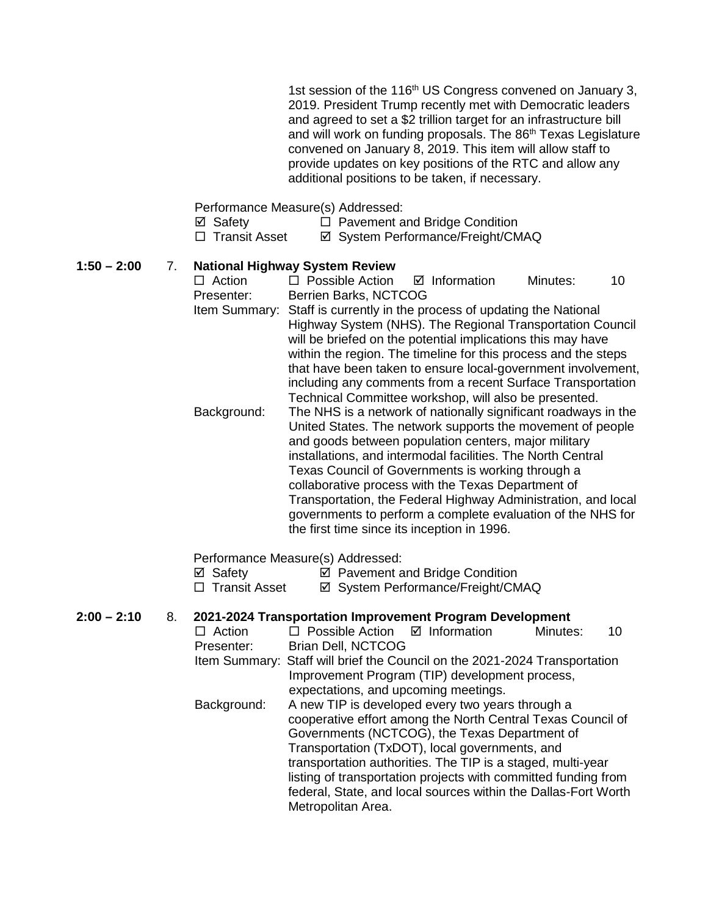1st session of the 116<sup>th</sup> US Congress convened on January 3, 2019. President Trump recently met with Democratic leaders and agreed to set a \$2 trillion target for an infrastructure bill and will work on funding proposals. The 86<sup>th</sup> Texas Legislature convened on January 8, 2019. This item will allow staff to provide updates on key positions of the RTC and allow any additional positions to be taken, if necessary.

Performance Measure(s) Addressed:

| ⊠ Safety             | $\Box$ Pavement and Bridge Condition |
|----------------------|--------------------------------------|
| $\Box$ Transit Asset | ☑ System Performance/Freight/CMAQ    |

## **1:50 – 2:00** 7. **National Highway System Review**

 $\Box$  Possible Action  $\Box$  Information Minutes: 10 Presenter: Berrien Barks, NCTCOG Item Summary: Staff is currently in the process of updating the National Highway System (NHS). The Regional Transportation Council will be briefed on the potential implications this may have within the region. The timeline for this process and the steps that have been taken to ensure local-government involvement, including any comments from a recent Surface Transportation Technical Committee workshop, will also be presented. Background: The NHS is a network of nationally significant roadways in the United States. The network supports the movement of people and goods between population centers, major military installations, and intermodal facilities. The North Central Texas Council of Governments is working through a collaborative process with the Texas Department of Transportation, the Federal Highway Administration, and local governments to perform a complete evaluation of the NHS for the first time since its inception in 1996.

### Performance Measure(s) Addressed:

- $\boxtimes$  Safety  $\boxtimes$  Pavement and Bridge Condition
- □ Transit Asset <br>  $\Box$  Transit Asset <br>  $\Box$  System Performance/Freight/CMAQ

# **2:00 – 2:10** 8. **2021-2024 Transportation Improvement Program Development**

 $\Box$  Possible Action  $\Box$  Information Minutes: 10 Presenter: Brian Dell, NCTCOG Item Summary: Staff will brief the Council on the 2021-2024 Transportation Improvement Program (TIP) development process, expectations, and upcoming meetings. Background: A new TIP is developed every two years through a cooperative effort among the North Central Texas Council of Governments (NCTCOG), the Texas Department of Transportation (TxDOT), local governments, and transportation authorities. The TIP is a staged, multi-year listing of transportation projects with committed funding from federal, State, and local sources within the Dallas-Fort Worth Metropolitan Area.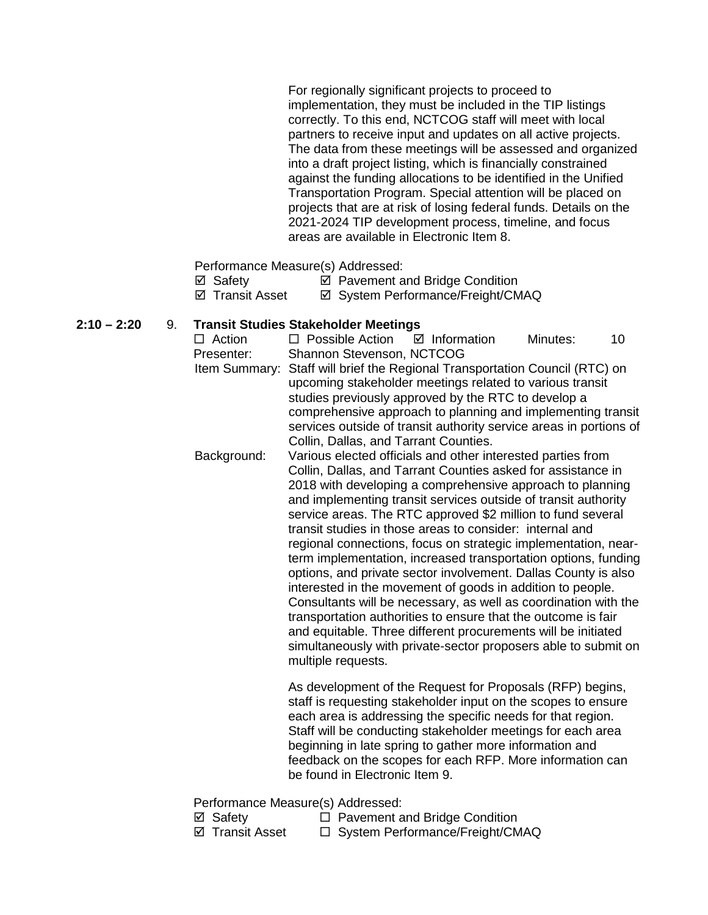For regionally significant projects to proceed to implementation, they must be included in the TIP listings correctly. To this end, NCTCOG staff will meet with local partners to receive input and updates on all active projects. The data from these meetings will be assessed and organized into a draft project listing, which is financially constrained against the funding allocations to be identified in the Unified Transportation Program. Special attention will be placed on projects that are at risk of losing federal funds. Details on the 2021-2024 TIP development process, timeline, and focus areas are available in Electronic Item 8.

Performance Measure(s) Addressed:

|     | ⊠ Safety |  |                          |  |     | ☑ Pavement and Bridge Condition |  |                                             |  |
|-----|----------|--|--------------------------|--|-----|---------------------------------|--|---------------------------------------------|--|
| - - |          |  | $\overline{\phantom{a}}$ |  | - - |                                 |  | $\sqrt{2}$ $\sqrt{2}$ $\sqrt{2}$ $\sqrt{2}$ |  |

 $\boxtimes$  **Transit Asset**  $\boxtimes$  **System Performance/Freight/CMAQ** 

### **2:10 – 2:20** 9. **Transit Studies Stakeholder Meetings**

| $\Box$ Action | $\Box$ Possible Action                                             | $\boxtimes$ Information | Minutes: | 10 |
|---------------|--------------------------------------------------------------------|-------------------------|----------|----|
| Presenter:    | Shannon Stevenson, NCTCOG                                          |                         |          |    |
| Item Summary: | Staff will brief the Regional Transportation Council (RTC) on      |                         |          |    |
|               | upcoming stakeholder meetings related to various transit           |                         |          |    |
|               | studies previously approved by the RTC to develop a                |                         |          |    |
|               | comprehensive approach to planning and implementing transit        |                         |          |    |
|               | services outside of transit authority service areas in portions of |                         |          |    |
|               | Collin, Dallas, and Tarrant Counties.                              |                         |          |    |
| Background:   | Various elected officials and other interested parties from        |                         |          |    |
|               | Collin, Dallas, and Tarrant Counties asked for assistance in       |                         |          |    |
|               | 2018 with developing a comprehensive approach to planning          |                         |          |    |
|               | and implementing transit services outside of transit authority     |                         |          |    |
|               | service areas. The RTC approved \$2 million to fund several        |                         |          |    |
|               | transit studies in those areas to consider: internal and           |                         |          |    |
|               | regional connections, focus on strategic implementation, near-     |                         |          |    |
|               | term implementation, increased transportation options, funding     |                         |          |    |
|               |                                                                    |                         |          |    |
|               | options, and private sector involvement. Dallas County is also     |                         |          |    |
|               | interested in the movement of goods in addition to people.         |                         |          |    |
|               | Consultants will be necessary, as well as coordination with the    |                         |          |    |
|               | transportation authorities to ensure that the outcome is fair      |                         |          |    |
|               | and equitable. Three different procurements will be initiated      |                         |          |    |
|               | simultaneously with private-sector proposers able to submit on     |                         |          |    |
|               | multiple requests.                                                 |                         |          |    |

As development of the Request for Proposals (RFP) begins, staff is requesting stakeholder input on the scopes to ensure each area is addressing the specific needs for that region. Staff will be conducting stakeholder meetings for each area beginning in late spring to gather more information and feedback on the scopes for each RFP. More information can be found in Electronic Item 9.

Performance Measure(s) Addressed:

- $\boxtimes$  Safety  $\Box$  Pavement and Bridge Condition
- ⊠ Transit Asset 
□ System Performance/Freight/CMAQ